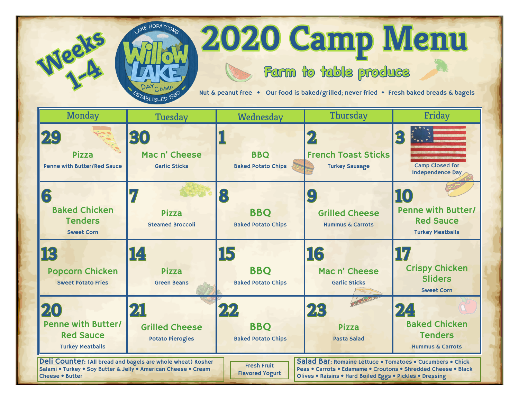## **2020 Camp Menu**

## **Farm to table produce**

Nut & peanut free • Our food is baked/grilled; never fried • Fresh baked breads & bagels



**11/2e125**